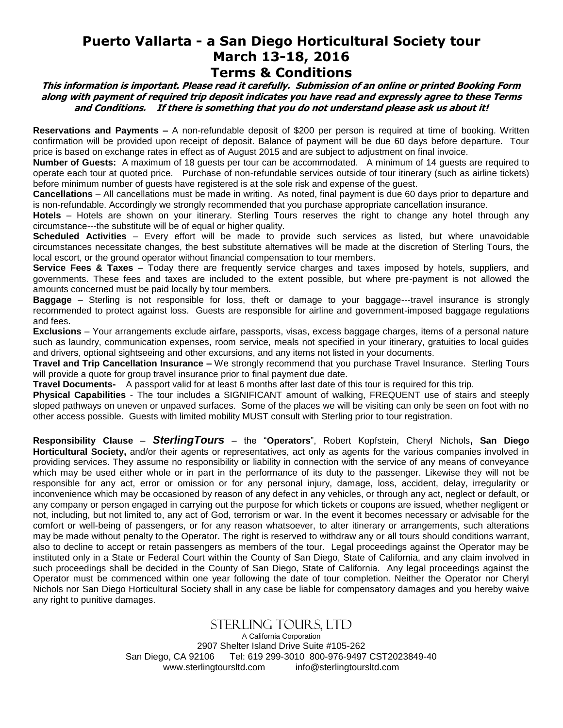## **Puerto Vallarta - a San Diego Horticultural Society tour March 13-18, 2016 Terms & Conditions**

**This information is important. Please read it carefully. Submission of an online or printed Booking Form along with payment of required trip deposit indicates you have read and expressly agree to these Terms** 

**and Conditions. If there is something that you do not understand please ask us about it!**

**Reservations and Payments –** A non-refundable deposit of \$200 per person is required at time of booking. Written confirmation will be provided upon receipt of deposit. Balance of payment will be due 60 days before departure. Tour price is based on exchange rates in effect as of August 2015 and are subject to adjustment on final invoice.

**Number of Guests:** A maximum of 18 guests per tour can be accommodated. A minimum of 14 guests are required to operate each tour at quoted price. Purchase of non-refundable services outside of tour itinerary (such as airline tickets) before minimum number of guests have registered is at the sole risk and expense of the guest.

**Cancellations** – All cancellations must be made in writing. As noted, final payment is due 60 days prior to departure and is non-refundable. Accordingly we strongly recommended that you purchase appropriate cancellation insurance.

**Hotels** – Hotels are shown on your itinerary. Sterling Tours reserves the right to change any hotel through any circumstance---the substitute will be of equal or higher quality.

**Scheduled Activities** – Every effort will be made to provide such services as listed, but where unavoidable circumstances necessitate changes, the best substitute alternatives will be made at the discretion of Sterling Tours, the local escort, or the ground operator without financial compensation to tour members.

**Service Fees & Taxes** – Today there are frequently service charges and taxes imposed by hotels, suppliers, and governments. These fees and taxes are included to the extent possible, but where pre-payment is not allowed the amounts concerned must be paid locally by tour members.

**Baggage** – Sterling is not responsible for loss, theft or damage to your baggage---travel insurance is strongly recommended to protect against loss. Guests are responsible for airline and government-imposed baggage regulations and fees.

**Exclusions** – Your arrangements exclude airfare, passports, visas, excess baggage charges, items of a personal nature such as laundry, communication expenses, room service, meals not specified in your itinerary, gratuities to local guides and drivers, optional sightseeing and other excursions, and any items not listed in your documents.

**Travel and Trip Cancellation Insurance –** We strongly recommend that you purchase Travel Insurance. Sterling Tours will provide a quote for group travel insurance prior to final payment due date.

**Travel Documents-** A passport valid for at least 6 months after last date of this tour is required for this trip.

**Physical Capabilities** - The tour includes a SIGNIFICANT amount of walking, FREQUENT use of stairs and steeply sloped pathways on uneven or unpaved surfaces. Some of the places we will be visiting can only be seen on foot with no other access possible. Guests with limited mobility MUST consult with Sterling prior to tour registration.

**Responsibility Clause** – *SterlingTours* – the "**Operators**", Robert Kopfstein, Cheryl Nichols**, San Diego Horticultural Society,** and/or their agents or representatives, act only as agents for the various companies involved in providing services. They assume no responsibility or liability in connection with the service of any means of conveyance which may be used either whole or in part in the performance of its duty to the passenger. Likewise they will not be responsible for any act, error or omission or for any personal injury, damage, loss, accident, delay, irregularity or inconvenience which may be occasioned by reason of any defect in any vehicles, or through any act, neglect or default, or any company or person engaged in carrying out the purpose for which tickets or coupons are issued, whether negligent or not, including, but not limited to, any act of God, terrorism or war. In the event it becomes necessary or advisable for the comfort or well-being of passengers, or for any reason whatsoever, to alter itinerary or arrangements, such alterations may be made without penalty to the Operator. The right is reserved to withdraw any or all tours should conditions warrant, also to decline to accept or retain passengers as members of the tour. Legal proceedings against the Operator may be instituted only in a State or Federal Court within the County of San Diego, State of California, and any claim involved in such proceedings shall be decided in the County of San Diego, State of California. Any legal proceedings against the Operator must be commenced within one year following the date of tour completion. Neither the Operator nor Cheryl Nichols nor San Diego Horticultural Society shall in any case be liable for compensatory damages and you hereby waive any right to punitive damages.

# Sterling Tours, Ltd

A California Corporation 2907 Shelter Island Drive Suite #105-262 San Diego, CA 92106 Tel: 619 299-3010 800-976-9497 CST2023849-40 [www.sterlingtoursltd.com](http://www.sterlingtoursltd.com/) [info@sterlingtoursltd.com](mailto:info@sterlingtoursltd.com)